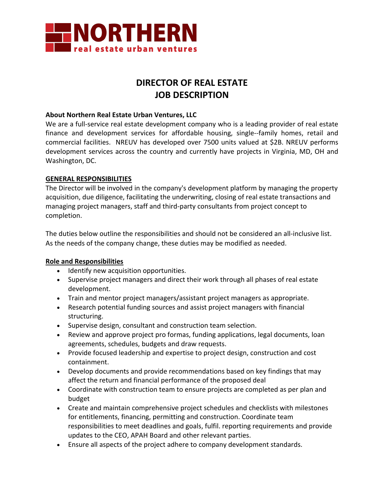

## **DIRECTOR OF REAL ESTATE JOB DESCRIPTION**

### **About Northern Real Estate Urban Ventures, LLC**

We are a full-service real estate development company who is a leading provider of real estate finance and development services for affordable housing, single--family homes, retail and commercial facilities. NREUV has developed over 7500 units valued at \$2B. NREUV performs development services across the country and currently have projects in Virginia, MD, OH and Washington, DC.

### **GENERAL RESPONSIBILITIES**

The Director will be involved in the company's development platform by managing the property acquisition, due diligence, facilitating the underwriting, closing of real estate transactions and managing project managers, staff and third-party consultants from project concept to completion.

The duties below outline the responsibilities and should not be considered an all-inclusive list. As the needs of the company change, these duties may be modified as needed.

### **Role and Responsibilities**

- Identify new acquisition opportunities.
- Supervise project managers and direct their work through all phases of real estate development.
- Train and mentor project managers/assistant project managers as appropriate.
- Research potential funding sources and assist project managers with financial structuring.
- Supervise design, consultant and construction team selection.
- Review and approve project pro formas, funding applications, legal documents, loan agreements, schedules, budgets and draw requests.
- Provide focused leadership and expertise to project design, construction and cost containment.
- Develop documents and provide recommendations based on key findings that may affect the return and financial performance of the proposed deal
- Coordinate with construction team to ensure projects are completed as per plan and budget
- Create and maintain comprehensive project schedules and checklists with milestones for entitlements, financing, permitting and construction. Coordinate team responsibilities to meet deadlines and goals, fulfil. reporting requirements and provide updates to the CEO, APAH Board and other relevant parties.
- Ensure all aspects of the project adhere to company development standards.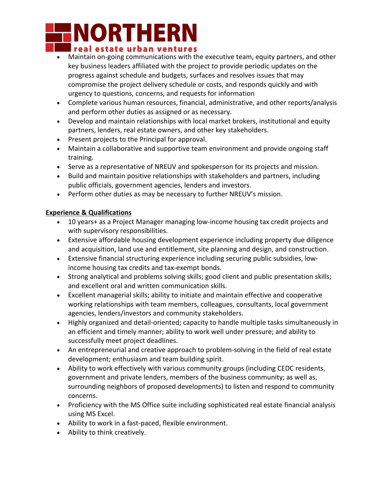# **INORTHERN** I real estate urban ventures

- Maintain on-going communications with the executive team, equity partners, and other key business leaders affiliated with the project to provide periodic updates on the progress against schedule and budgets, surfaces and resolves issues that may compromise the project delivery schedule or costs, and responds quickly and with urgency to questions, concerns, and requests for information
- Complete various human resources, financial, administrative, and other reports/analysis and perform other duties as assigned or as necessary.
- Develop and maintain relationships with local market brokers, institutional and equity partners, lenders, real estate owners, and other key stakeholders.
- Present projects to the Principal for approval.
- Maintain a collaborative and supportive team environment and provide ongoing staff training.
- Serve as a representative of NREUV and spokesperson for its projects and mission.
- Build and maintain positive relationships with stakeholders and partners, including public officials, government agencies, lenders and investors.
- Perform other duties as may be necessary to further NREUV's mission.

### **Experience & Qualifications**

- 10 years+ as a Project Manager managing low-income housing tax credit projects and with supervisory responsibilities.
- Extensive affordable housing development experience including property due diligence and acquisition, land use and entitlement, site planning and design, and construction.
- Extensive financial structuring experience including securing public subsidies, lowincome housing tax credits and tax-exempt bonds.
- Strong analytical and problems solving skills; good client and public presentation skills; and excellent oral and written communication skills.
- Excellent managerial skills; ability to initiate and maintain effective and cooperative working relationships with team members, colleagues, consultants, local government agencies, lenders/investors and community stakeholders.
- Highly organized and detail-oriented; capacity to handle multiple tasks simultaneously in an efficient and timely manner; ability to work well under pressure; and ability to successfully meet project deadlines.
- An entrepreneurial and creative approach to problem-solving in the field of real estate development; enthusiasm and team building spirit.
- Ability to work effectively with various community groups (including CEDC residents, government and private lenders, members of the business community; as well as, surrounding neighbors of proposed developments) to listen and respond to community concerns.
- Proficiency with the MS Office suite including sophisticated real estate financial analysis using MS Excel.
- Ability to work in a fast-paced, flexible environment.
- Ability to think creatively.